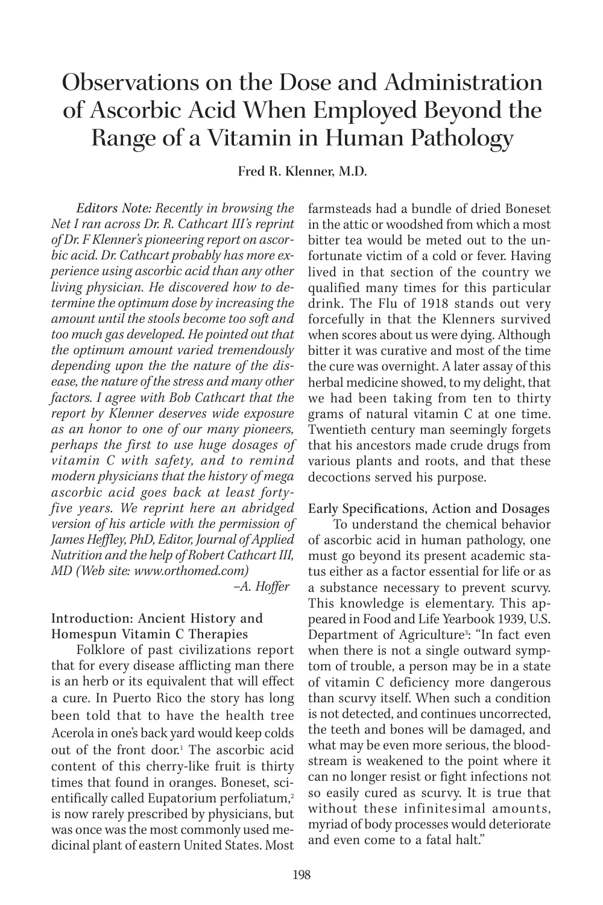# Observations on the Dose and Administration of Ascorbic Acid When Employed Beyond the Range of a Vitamin in Human Pathology

**Fred R. Klenner, M.D.**

*Editors Note: Recently in browsing the Net I ran across Dr. R. Cathcart III's reprint of Dr. F Klenner's pioneering report on ascorbic acid. Dr. Cathcart probably has more experience using ascorbic acid than any other living physician. He discovered how to determine the optimum dose by increasing the amount until the stools become too soft and too much gas developed. He pointed out that the optimum amount varied tremendously depending upon the the nature of the disease, the nature of the stress and many other factors. I agree with Bob Cathcart that the report by Klenner deserves wide exposure as an honor to one of our many pioneers, perhaps the first to use huge dosages of vitamin C with safety, and to remind modern physicians that the history of mega ascorbic acid goes back at least fortyfive years. We reprint here an abridged version of his article with the permission of James Heffley, PhD, Editor, Journal of Applied Nutrition and the help of Robert Cathcart III, MD (Web site: www.orthomed.com)*

*–A. Hoffer*

### Introduction: Ancient History and Homespun Vitamin C Therapies

Folklore of past civilizations report that for every disease afflicting man there is an herb or its equivalent that will effect a cure. In Puerto Rico the story has long been told that to have the health tree Acerola in one's back yard would keep colds out of the front door.<sup>1</sup> The ascorbic acid content of this cherry-like fruit is thirty times that found in oranges. Boneset, scientifically called Eupatorium perfoliatum,<sup>2</sup> is now rarely prescribed by physicians, but was once was the most commonly used medicinal plant of eastern United States. Most

farmsteads had a bundle of dried Boneset in the attic or woodshed from which a most bitter tea would be meted out to the unfortunate victim of a cold or fever. Having lived in that section of the country we qualified many times for this particular drink. The Flu of 1918 stands out very forcefully in that the Klenners survived when scores about us were dying. Although bitter it was curative and most of the time the cure was overnight. A later assay of this herbal medicine showed, to my delight, that we had been taking from ten to thirty grams of natural vitamin C at one time. Twentieth century man seemingly forgets that his ancestors made crude drugs from various plants and roots, and that these decoctions served his purpose.

#### Early Specifications, Action and Dosages

To understand the chemical behavior of ascorbic acid in human pathology, one must go beyond its present academic status either as a factor essential for life or as a substance necessary to prevent scurvy. This knowledge is elementary. This appeared in Food and Life Yearbook 1939, U.S. Department of Agriculture<sup>3</sup>: "In fact even when there is not a single outward symptom of trouble, a person may be in a state of vitamin C deficiency more dangerous than scurvy itself. When such a condition is not detected, and continues uncorrected, the teeth and bones will be damaged, and what may be even more serious, the bloodstream is weakened to the point where it can no longer resist or fight infections not so easily cured as scurvy. It is true that without these infinitesimal amounts, myriad of body processes would deteriorate and even come to a fatal halt."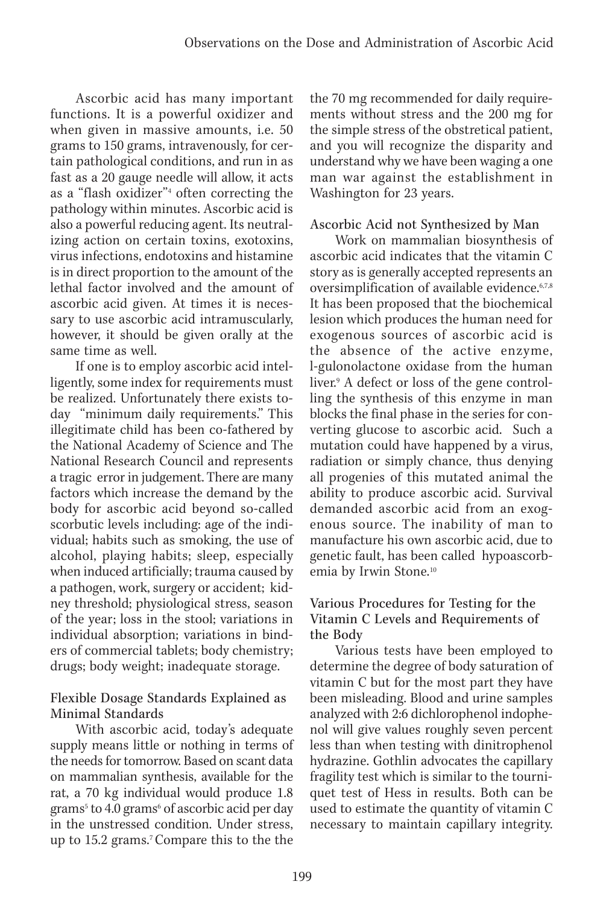Ascorbic acid has many important functions. It is a powerful oxidizer and when given in massive amounts, i.e. 50 grams to 150 grams, intravenously, for certain pathological conditions, and run in as fast as a 20 gauge needle will allow, it acts as a "flash oxidizer"<sup>4</sup> often correcting the pathology within minutes. Ascorbic acid is also a powerful reducing agent. Its neutralizing action on certain toxins, exotoxins, virus infections, endotoxins and histamine is in direct proportion to the amount of the lethal factor involved and the amount of ascorbic acid given. At times it is necessary to use ascorbic acid intramuscularly, however, it should be given orally at the same time as well.

If one is to employ ascorbic acid intelligently, some index for requirements must be realized. Unfortunately there exists today "minimum daily requirements." This illegitimate child has been co-fathered by the National Academy of Science and The National Research Council and represents a tragic error in judgement. There are many factors which increase the demand by the body for ascorbic acid beyond so-called scorbutic levels including: age of the individual; habits such as smoking, the use of alcohol, playing habits; sleep, especially when induced artificially; trauma caused by a pathogen, work, surgery or accident; kidney threshold; physiological stress, season of the year; loss in the stool; variations in individual absorption; variations in binders of commercial tablets; body chemistry; drugs; body weight; inadequate storage.

### Flexible Dosage Standards Explained as Minimal Standards

With ascorbic acid, today's adequate supply means little or nothing in terms of the needs for tomorrow. Based on scant data on mammalian synthesis, available for the rat, a 70 kg individual would produce 1.8 grams<sup>5</sup> to 4.0 grams<sup>6</sup> of ascorbic acid per day in the unstressed condition. Under stress, up to 15.2 grams.7 Compare this to the the

the 70 mg recommended for daily requirements without stress and the 200 mg for the simple stress of the obstretical patient, and you will recognize the disparity and understand why we have been waging a one man war against the establishment in Washington for 23 years.

# Ascorbic Acid not Synthesized by Man

Work on mammalian biosynthesis of ascorbic acid indicates that the vitamin C story as is generally accepted represents an oversimplification of available evidence.<sup>6,7,8</sup> It has been proposed that the biochemical lesion which produces the human need for exogenous sources of ascorbic acid is the absence of the active enzyme, l-gulonolactone oxidase from the human liver.9 A defect or loss of the gene controlling the synthesis of this enzyme in man blocks the final phase in the series for converting glucose to ascorbic acid. Such a mutation could have happened by a virus, radiation or simply chance, thus denying all progenies of this mutated animal the ability to produce ascorbic acid. Survival demanded ascorbic acid from an exogenous source. The inability of man to manufacture his own ascorbic acid, due to genetic fault, has been called hypoascorbemia by Irwin Stone.10

### Various Procedures for Testing for the Vitamin C Levels and Requirements of the Body

Various tests have been employed to determine the degree of body saturation of vitamin C but for the most part they have been misleading. Blood and urine samples analyzed with 2:6 dichlorophenol indophenol will give values roughly seven percent less than when testing with dinitrophenol hydrazine. Gothlin advocates the capillary fragility test which is similar to the tourniquet test of Hess in results. Both can be used to estimate the quantity of vitamin C necessary to maintain capillary integrity.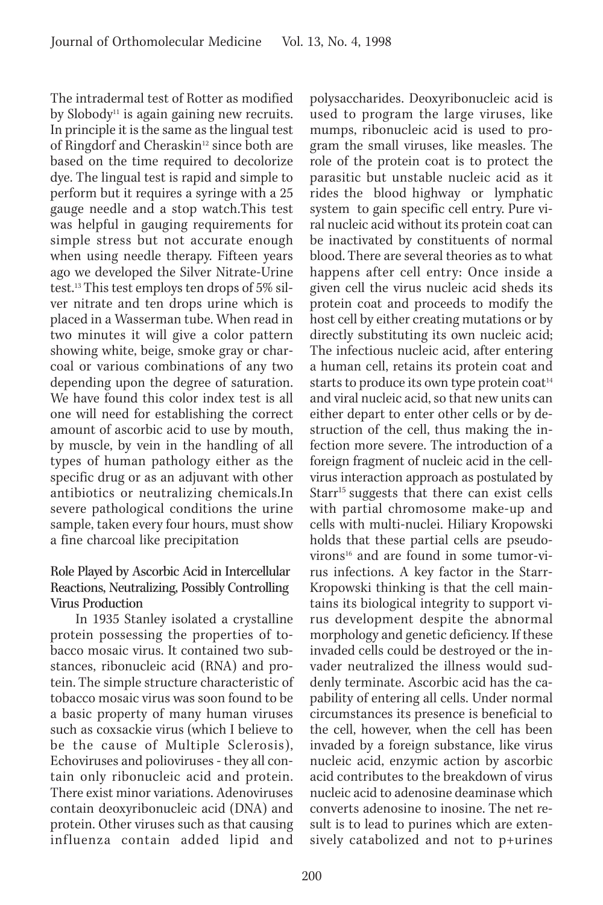The intradermal test of Rotter as modified by Slobody<sup>11</sup> is again gaining new recruits. In principle it is the same as the lingual test of Ringdorf and Cheraskin<sup>12</sup> since both are based on the time required to decolorize dye. The lingual test is rapid and simple to perform but it requires a syringe with a 25 gauge needle and a stop watch.This test was helpful in gauging requirements for simple stress but not accurate enough when using needle therapy. Fifteen years ago we developed the Silver Nitrate-Urine test.13 This test employs ten drops of 5% silver nitrate and ten drops urine which is placed in a Wasserman tube. When read in two minutes it will give a color pattern showing white, beige, smoke gray or charcoal or various combinations of any two depending upon the degree of saturation. We have found this color index test is all one will need for establishing the correct amount of ascorbic acid to use by mouth, by muscle, by vein in the handling of all types of human pathology either as the specific drug or as an adjuvant with other antibiotics or neutralizing chemicals.In severe pathological conditions the urine sample, taken every four hours, must show a fine charcoal like precipitation

#### Role Played by Ascorbic Acid in Intercellular Reactions, Neutralizing, Possibly Controlling Virus Production

In 1935 Stanley isolated a crystalline protein possessing the properties of tobacco mosaic virus. It contained two substances, ribonucleic acid (RNA) and protein. The simple structure characteristic of tobacco mosaic virus was soon found to be a basic property of many human viruses such as coxsackie virus (which I believe to be the cause of Multiple Sclerosis), Echoviruses and polioviruses - they all contain only ribonucleic acid and protein. There exist minor variations. Adenoviruses contain deoxyribonucleic acid (DNA) and protein. Other viruses such as that causing influenza contain added lipid and

polysaccharides. Deoxyribonucleic acid is used to program the large viruses, like mumps, ribonucleic acid is used to program the small viruses, like measles. The role of the protein coat is to protect the parasitic but unstable nucleic acid as it rides the blood highway or lymphatic system to gain specific cell entry. Pure viral nucleic acid without its protein coat can be inactivated by constituents of normal blood. There are several theories as to what happens after cell entry: Once inside a given cell the virus nucleic acid sheds its protein coat and proceeds to modify the host cell by either creating mutations or by directly substituting its own nucleic acid; The infectious nucleic acid, after entering a human cell, retains its protein coat and starts to produce its own type protein coat<sup>14</sup> and viral nucleic acid, so that new units can either depart to enter other cells or by destruction of the cell, thus making the infection more severe. The introduction of a foreign fragment of nucleic acid in the cellvirus interaction approach as postulated by Starr<sup>15</sup> suggests that there can exist cells with partial chromosome make-up and cells with multi-nuclei. Hiliary Kropowski holds that these partial cells are pseudovirons<sup>16</sup> and are found in some tumor-virus infections. A key factor in the Starr-Kropowski thinking is that the cell maintains its biological integrity to support virus development despite the abnormal morphology and genetic deficiency. If these invaded cells could be destroyed or the invader neutralized the illness would suddenly terminate. Ascorbic acid has the capability of entering all cells. Under normal circumstances its presence is beneficial to the cell, however, when the cell has been invaded by a foreign substance, like virus nucleic acid, enzymic action by ascorbic acid contributes to the breakdown of virus nucleic acid to adenosine deaminase which converts adenosine to inosine. The net result is to lead to purines which are extensively catabolized and not to p+urines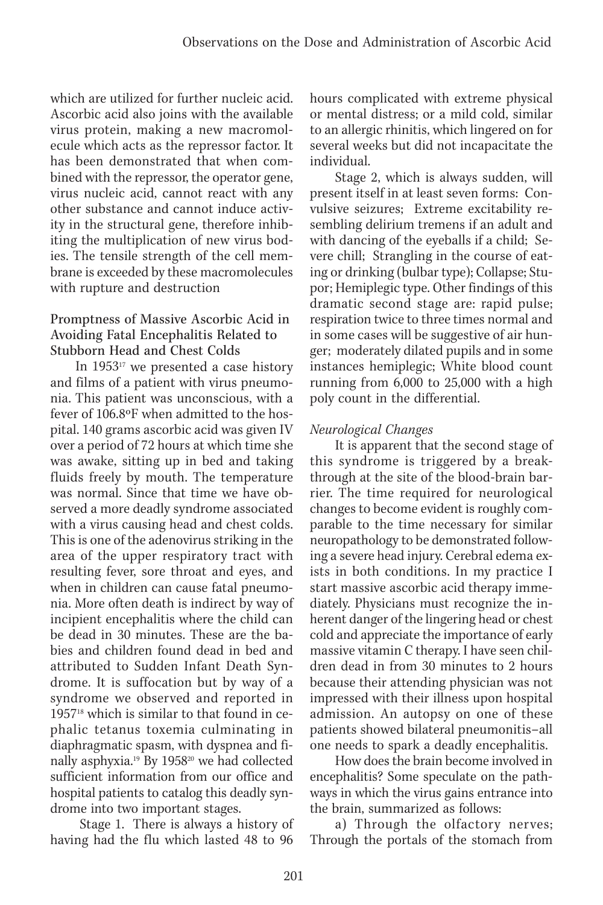which are utilized for further nucleic acid. Ascorbic acid also joins with the available virus protein, making a new macromolecule which acts as the repressor factor. It has been demonstrated that when combined with the repressor, the operator gene, virus nucleic acid, cannot react with any other substance and cannot induce activity in the structural gene, therefore inhibiting the multiplication of new virus bodies. The tensile strength of the cell membrane is exceeded by these macromolecules with rupture and destruction

### Promptness of Massive Ascorbic Acid in Avoiding Fatal Encephalitis Related to Stubborn Head and Chest Colds

In  $1953^{17}$  we presented a case history and films of a patient with virus pneumonia. This patient was unconscious, with a fever of 106.8ºF when admitted to the hospital. 140 grams ascorbic acid was given IV over a period of 72 hours at which time she was awake, sitting up in bed and taking fluids freely by mouth. The temperature was normal. Since that time we have observed a more deadly syndrome associated with a virus causing head and chest colds. This is one of the adenovirus striking in the area of the upper respiratory tract with resulting fever, sore throat and eyes, and when in children can cause fatal pneumonia. More often death is indirect by way of incipient encephalitis where the child can be dead in 30 minutes. These are the babies and children found dead in bed and attributed to Sudden Infant Death Syndrome. It is suffocation but by way of a syndrome we observed and reported in 195718 which is similar to that found in cephalic tetanus toxemia culminating in diaphragmatic spasm, with dyspnea and finally asphyxia.<sup>19</sup> By 1958<sup>20</sup> we had collected sufficient information from our office and hospital patients to catalog this deadly syndrome into two important stages.

 Stage 1. There is always a history of having had the flu which lasted 48 to 96

hours complicated with extreme physical or mental distress; or a mild cold, similar to an allergic rhinitis, which lingered on for several weeks but did not incapacitate the individual.

Stage 2, which is always sudden, will present itself in at least seven forms: Convulsive seizures; Extreme excitability resembling delirium tremens if an adult and with dancing of the eyeballs if a child; Severe chill; Strangling in the course of eating or drinking (bulbar type); Collapse; Stupor; Hemiplegic type. Other findings of this dramatic second stage are: rapid pulse; respiration twice to three times normal and in some cases will be suggestive of air hunger; moderately dilated pupils and in some instances hemiplegic; White blood count running from 6,000 to 25,000 with a high poly count in the differential.

# *Neurological Changes*

It is apparent that the second stage of this syndrome is triggered by a breakthrough at the site of the blood-brain barrier. The time required for neurological changes to become evident is roughly comparable to the time necessary for similar neuropathology to be demonstrated following a severe head injury. Cerebral edema exists in both conditions. In my practice I start massive ascorbic acid therapy immediately. Physicians must recognize the inherent danger of the lingering head or chest cold and appreciate the importance of early massive vitamin C therapy. I have seen children dead in from 30 minutes to 2 hours because their attending physician was not impressed with their illness upon hospital admission. An autopsy on one of these patients showed bilateral pneumonitis–all one needs to spark a deadly encephalitis.

How does the brain become involved in encephalitis? Some speculate on the pathways in which the virus gains entrance into the brain, summarized as follows:

a) Through the olfactory nerves; Through the portals of the stomach from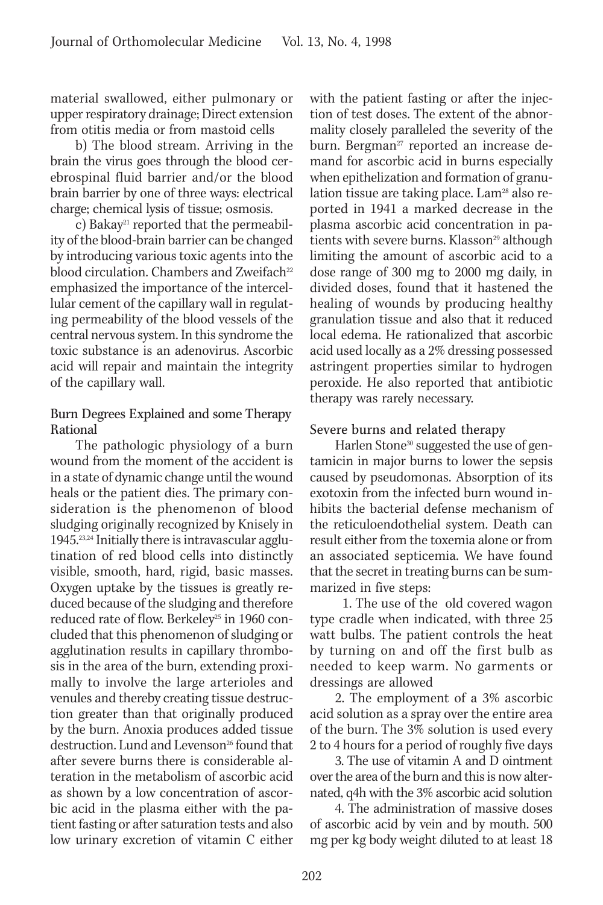material swallowed, either pulmonary or upper respiratory drainage; Direct extension from otitis media or from mastoid cells

b) The blood stream. Arriving in the brain the virus goes through the blood cerebrospinal fluid barrier and/or the blood brain barrier by one of three ways: electrical charge; chemical lysis of tissue; osmosis.

c) Bakay<sup>21</sup> reported that the permeability of the blood-brain barrier can be changed by introducing various toxic agents into the blood circulation. Chambers and Zweifach<sup>22</sup> emphasized the importance of the intercellular cement of the capillary wall in regulating permeability of the blood vessels of the central nervous system. In this syndrome the toxic substance is an adenovirus. Ascorbic acid will repair and maintain the integrity of the capillary wall.

# Burn Degrees Explained and some Therapy Rational

The pathologic physiology of a burn wound from the moment of the accident is in a state of dynamic change until the wound heals or the patient dies. The primary consideration is the phenomenon of blood sludging originally recognized by Knisely in 1945.<sup>23,24</sup> Initially there is intravascular agglutination of red blood cells into distinctly visible, smooth, hard, rigid, basic masses. Oxygen uptake by the tissues is greatly reduced because of the sludging and therefore reduced rate of flow. Berkeley<sup>25</sup> in 1960 concluded that this phenomenon of sludging or agglutination results in capillary thrombosis in the area of the burn, extending proximally to involve the large arterioles and venules and thereby creating tissue destruction greater than that originally produced by the burn. Anoxia produces added tissue destruction. Lund and Levenson<sup>26</sup> found that after severe burns there is considerable alteration in the metabolism of ascorbic acid as shown by a low concentration of ascorbic acid in the plasma either with the patient fasting or after saturation tests and also low urinary excretion of vitamin C either

with the patient fasting or after the injection of test doses. The extent of the abnormality closely paralleled the severity of the burn. Bergman<sup>27</sup> reported an increase demand for ascorbic acid in burns especially when epithelization and formation of granulation tissue are taking place. Lam<sup>28</sup> also reported in 1941 a marked decrease in the plasma ascorbic acid concentration in patients with severe burns. Klasson<sup>29</sup> although limiting the amount of ascorbic acid to a dose range of 300 mg to 2000 mg daily, in divided doses, found that it hastened the healing of wounds by producing healthy granulation tissue and also that it reduced local edema. He rationalized that ascorbic acid used locally as a 2% dressing possessed astringent properties similar to hydrogen peroxide. He also reported that antibiotic therapy was rarely necessary.

# Severe burns and related therapy

Harlen Stone<sup>30</sup> suggested the use of gentamicin in major burns to lower the sepsis caused by pseudomonas. Absorption of its exotoxin from the infected burn wound inhibits the bacterial defense mechanism of the reticuloendothelial system. Death can result either from the toxemia alone or from an associated septicemia. We have found that the secret in treating burns can be summarized in five steps:

 1. The use of the old covered wagon type cradle when indicated, with three 25 watt bulbs. The patient controls the heat by turning on and off the first bulb as needed to keep warm. No garments or dressings are allowed

2. The employment of a 3% ascorbic acid solution as a spray over the entire area of the burn. The 3% solution is used every 2 to 4 hours for a period of roughly five days

3. The use of vitamin A and D ointment over the area of the burn and this is now alternated, q4h with the 3% ascorbic acid solution

4. The administration of massive doses of ascorbic acid by vein and by mouth. 500 mg per kg body weight diluted to at least 18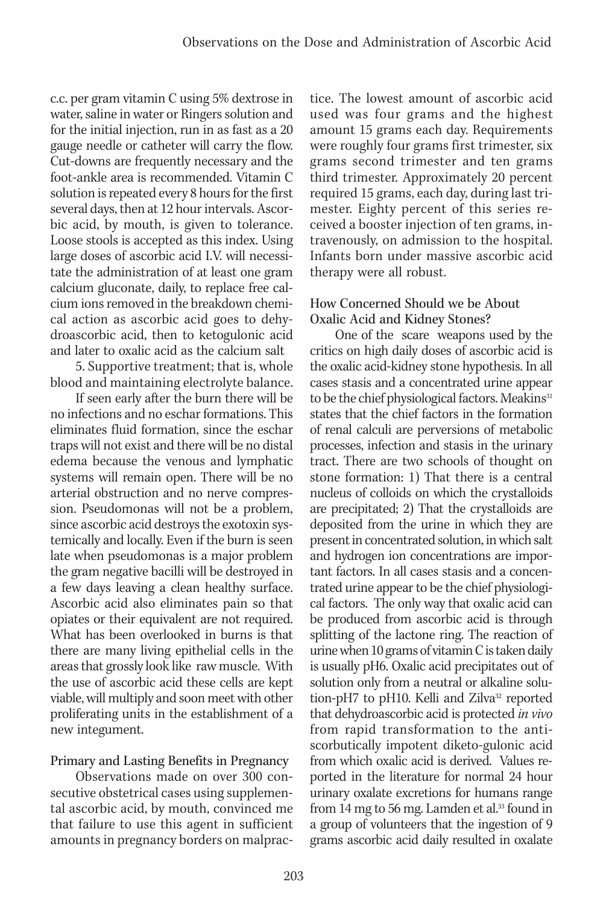c.c. per gram vitamin C using 5% dextrose in water, saline in water or Ringers solution and for the initial injection, run in as fast as a 20 gauge needle or catheter will carry the flow. Cut-downs are frequently necessary and the foot-ankle area is recommended. Vitamin C solution is repeated every 8 hours for the first several days, then at 12 hour intervals. Ascorbic acid, by mouth, is given to tolerance. Loose stools is accepted as this index. Using large doses of ascorbic acid I.V. will necessitate the administration of at least one gram calcium gluconate, daily, to replace free calcium ions removed in the breakdown chemical action as ascorbic acid goes to dehydroascorbic acid, then to ketogulonic acid and later to oxalic acid as the calcium salt

5. Supportive treatment; that is, whole blood and maintaining electrolyte balance.

If seen early after the burn there will be no infections and no eschar formations. This eliminates fluid formation, since the eschar traps will not exist and there will be no distal edema because the venous and lymphatic systems will remain open. There will be no arterial obstruction and no nerve compression. Pseudomonas will not be a problem, since ascorbic acid destroys the exotoxin systemically and locally. Even if the burn is seen late when pseudomonas is a major problem the gram negative bacilli will be destroyed in a few days leaving a clean healthy surface. Ascorbic acid also eliminates pain so that opiates or their equivalent are not required. What has been overlooked in burns is that there are many living epithelial cells in the areas that grossly look like raw muscle. With the use of ascorbic acid these cells are kept viable, will multiply and soon meet with other proliferating units in the establishment of a new integument.

### Primary and Lasting Benefits in Pregnancy

Observations made on over 300 consecutive obstetrical cases using supplemental ascorbic acid, by mouth, convinced me that failure to use this agent in sufficient amounts in pregnancy borders on malpractice. The lowest amount of ascorbic acid used was four grams and the highest amount 15 grams each day. Requirements were roughly four grams first trimester, six grams second trimester and ten grams third trimester. Approximately 20 percent required 15 grams, each day, during last trimester. Eighty percent of this series received a booster injection of ten grams, intravenously, on admission to the hospital. Infants born under massive ascorbic acid therapy were all robust.

#### How Concerned Should we be About Oxalic Acid and Kidney Stones?

One of the scare weapons used by the critics on high daily doses of ascorbic acid is the oxalic acid-kidney stone hypothesis. In all cases stasis and a concentrated urine appear to be the chief physiological factors. Meakins<sup>31</sup> states that the chief factors in the formation of renal calculi are perversions of metabolic processes, infection and stasis in the urinary tract. There are two schools of thought on stone formation: 1) That there is a central nucleus of colloids on which the crystalloids are precipitated; 2) That the crystalloids are deposited from the urine in which they are present in concentrated solution, in which salt and hydrogen ion concentrations are important factors. In all cases stasis and a concentrated urine appear to be the chief physiological factors. The only way that oxalic acid can be produced from ascorbic acid is through splitting of the lactone ring. The reaction of urine when 10 grams of vitamin C is taken daily is usually pH6. Oxalic acid precipitates out of solution only from a neutral or alkaline solution-pH7 to pH10. Kelli and Zilva<sup>32</sup> reported that dehydroascorbic acid is protected *in vivo* from rapid transformation to the antiscorbutically impotent diketo-gulonic acid from which oxalic acid is derived. Values reported in the literature for normal 24 hour urinary oxalate excretions for humans range from 14 mg to 56 mg. Lamden et al.<sup>33</sup> found in a group of volunteers that the ingestion of 9 grams ascorbic acid daily resulted in oxalate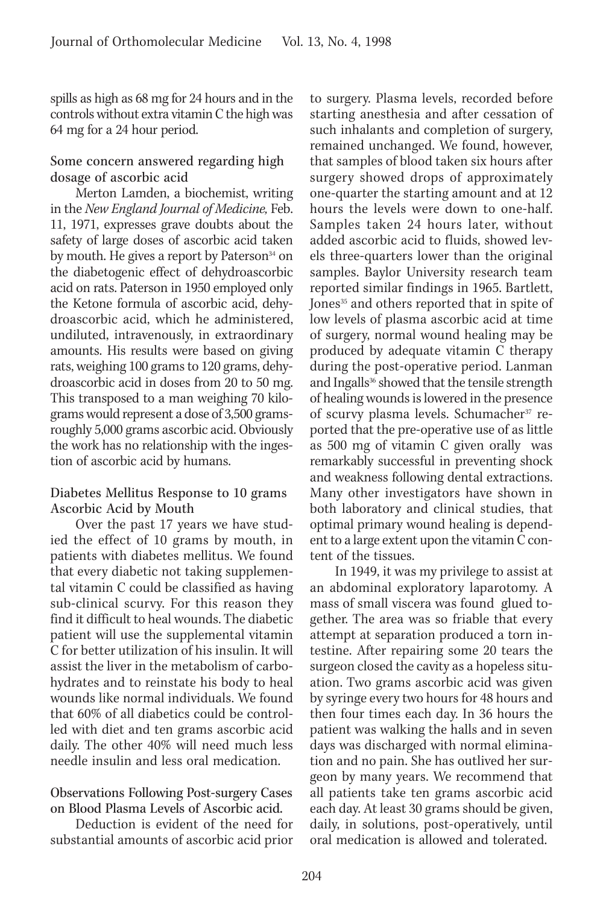spills as high as 68 mg for 24 hours and in the controls without extra vitamin C the high was 64 mg for a 24 hour period.

#### Some concern answered regarding high dosage of ascorbic acid

Merton Lamden, a biochemist, writing in the *New England Journal of Medicine,* Feb. 11, 1971, expresses grave doubts about the safety of large doses of ascorbic acid taken by mouth. He gives a report by Paterson<sup>34</sup> on the diabetogenic effect of dehydroascorbic acid on rats. Paterson in 1950 employed only the Ketone formula of ascorbic acid, dehydroascorbic acid, which he administered, undiluted, intravenously, in extraordinary amounts. His results were based on giving rats, weighing 100 grams to 120 grams, dehydroascorbic acid in doses from 20 to 50 mg. This transposed to a man weighing 70 kilograms would represent a dose of 3,500 gramsroughly 5,000 grams ascorbic acid. Obviously the work has no relationship with the ingestion of ascorbic acid by humans.

#### Diabetes Mellitus Response to 10 grams Ascorbic Acid by Mouth

Over the past 17 years we have studied the effect of 10 grams by mouth, in patients with diabetes mellitus. We found that every diabetic not taking supplemental vitamin C could be classified as having sub-clinical scurvy. For this reason they find it difficult to heal wounds. The diabetic patient will use the supplemental vitamin C for better utilization of his insulin. It will assist the liver in the metabolism of carbohydrates and to reinstate his body to heal wounds like normal individuals. We found that 60% of all diabetics could be controlled with diet and ten grams ascorbic acid daily. The other 40% will need much less needle insulin and less oral medication.

#### Observations Following Post-surgery Cases on Blood Plasma Levels of Ascorbic acid.

Deduction is evident of the need for substantial amounts of ascorbic acid prior to surgery. Plasma levels, recorded before starting anesthesia and after cessation of such inhalants and completion of surgery, remained unchanged. We found, however, that samples of blood taken six hours after surgery showed drops of approximately one-quarter the starting amount and at 12 hours the levels were down to one-half. Samples taken 24 hours later, without added ascorbic acid to fluids, showed levels three-quarters lower than the original samples. Baylor University research team reported similar findings in 1965. Bartlett, Jones<sup>35</sup> and others reported that in spite of low levels of plasma ascorbic acid at time of surgery, normal wound healing may be produced by adequate vitamin C therapy during the post-operative period. Lanman and Ingalls<sup>36</sup> showed that the tensile strength of healing wounds is lowered in the presence of scurvy plasma levels. Schumacher<sup>37</sup> reported that the pre-operative use of as little as 500 mg of vitamin C given orally was remarkably successful in preventing shock and weakness following dental extractions. Many other investigators have shown in both laboratory and clinical studies, that optimal primary wound healing is dependent to a large extent upon the vitamin C content of the tissues.

In 1949, it was my privilege to assist at an abdominal exploratory laparotomy. A mass of small viscera was found glued together. The area was so friable that every attempt at separation produced a torn intestine. After repairing some 20 tears the surgeon closed the cavity as a hopeless situation. Two grams ascorbic acid was given by syringe every two hours for 48 hours and then four times each day. In 36 hours the patient was walking the halls and in seven days was discharged with normal elimination and no pain. She has outlived her surgeon by many years. We recommend that all patients take ten grams ascorbic acid each day. At least 30 grams should be given, daily, in solutions, post-operatively, until oral medication is allowed and tolerated.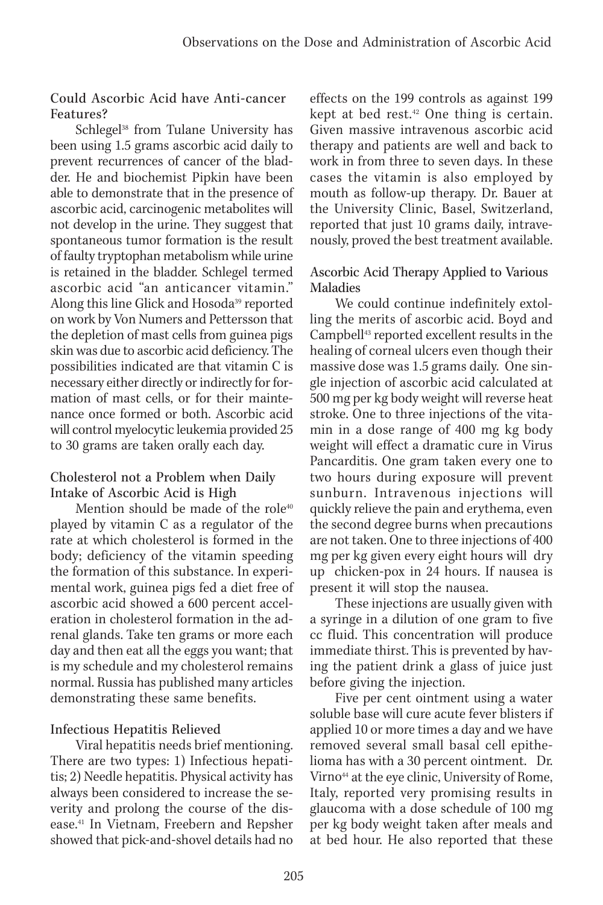#### Could Ascorbic Acid have Anti-cancer Features?

Schlegel<sup>38</sup> from Tulane University has been using 1.5 grams ascorbic acid daily to prevent recurrences of cancer of the bladder. He and biochemist Pipkin have been able to demonstrate that in the presence of ascorbic acid, carcinogenic metabolites will not develop in the urine. They suggest that spontaneous tumor formation is the result of faulty tryptophan metabolism while urine is retained in the bladder. Schlegel termed ascorbic acid "an anticancer vitamin." Along this line Glick and Hosoda<sup>39</sup> reported on work by Von Numers and Pettersson that the depletion of mast cells from guinea pigs skin was due to ascorbic acid deficiency. The possibilities indicated are that vitamin C is necessary either directly or indirectly for formation of mast cells, or for their maintenance once formed or both. Ascorbic acid will control myelocytic leukemia provided 25 to 30 grams are taken orally each day.

### Cholesterol not a Problem when Daily Intake of Ascorbic Acid is High

Mention should be made of the role<sup>40</sup> played by vitamin C as a regulator of the rate at which cholesterol is formed in the body; deficiency of the vitamin speeding the formation of this substance. In experimental work, guinea pigs fed a diet free of ascorbic acid showed a 600 percent acceleration in cholesterol formation in the adrenal glands. Take ten grams or more each day and then eat all the eggs you want; that is my schedule and my cholesterol remains normal. Russia has published many articles demonstrating these same benefits.

### Infectious Hepatitis Relieved

Viral hepatitis needs brief mentioning. There are two types: 1) Infectious hepatitis; 2) Needle hepatitis. Physical activity has always been considered to increase the severity and prolong the course of the disease.41 In Vietnam, Freebern and Repsher showed that pick-and-shovel details had no effects on the 199 controls as against 199 kept at bed rest.42 One thing is certain. Given massive intravenous ascorbic acid therapy and patients are well and back to work in from three to seven days. In these cases the vitamin is also employed by mouth as follow-up therapy. Dr. Bauer at the University Clinic, Basel, Switzerland, reported that just 10 grams daily, intravenously, proved the best treatment available.

### Ascorbic Acid Therapy Applied to Various Maladies

We could continue indefinitely extolling the merits of ascorbic acid. Boyd and Campbell43 reported excellent results in the healing of corneal ulcers even though their massive dose was 1.5 grams daily. One single injection of ascorbic acid calculated at 500 mg per kg body weight will reverse heat stroke. One to three injections of the vitamin in a dose range of 400 mg kg body weight will effect a dramatic cure in Virus Pancarditis. One gram taken every one to two hours during exposure will prevent sunburn. Intravenous injections will quickly relieve the pain and erythema, even the second degree burns when precautions are not taken. One to three injections of 400 mg per kg given every eight hours will dry up chicken-pox in 24 hours. If nausea is present it will stop the nausea.

These injections are usually given with a syringe in a dilution of one gram to five cc fluid. This concentration will produce immediate thirst. This is prevented by having the patient drink a glass of juice just before giving the injection.

Five per cent ointment using a water soluble base will cure acute fever blisters if applied 10 or more times a day and we have removed several small basal cell epithelioma has with a 30 percent ointment. Dr. Virno<sup>44</sup> at the eye clinic, University of Rome, Italy, reported very promising results in glaucoma with a dose schedule of 100 mg per kg body weight taken after meals and at bed hour. He also reported that these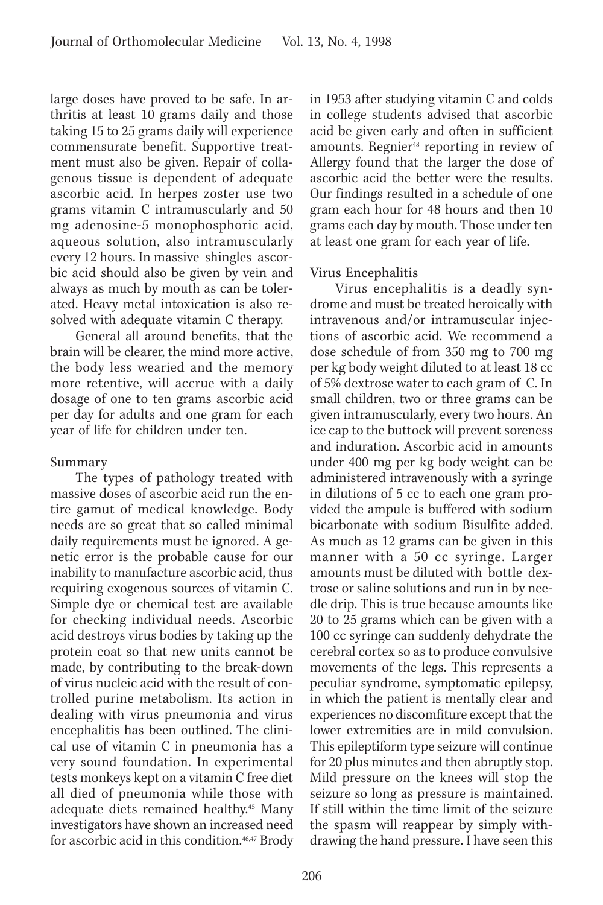large doses have proved to be safe. In arthritis at least 10 grams daily and those taking 15 to 25 grams daily will experience commensurate benefit. Supportive treatment must also be given. Repair of collagenous tissue is dependent of adequate ascorbic acid. In herpes zoster use two grams vitamin C intramuscularly and 50 mg adenosine-5 monophosphoric acid, aqueous solution, also intramuscularly every 12 hours. In massive shingles ascorbic acid should also be given by vein and always as much by mouth as can be tolerated. Heavy metal intoxication is also resolved with adequate vitamin C therapy.

General all around benefits, that the brain will be clearer, the mind more active, the body less wearied and the memory more retentive, will accrue with a daily dosage of one to ten grams ascorbic acid per day for adults and one gram for each year of life for children under ten.

### Summary

The types of pathology treated with massive doses of ascorbic acid run the entire gamut of medical knowledge. Body needs are so great that so called minimal daily requirements must be ignored. A genetic error is the probable cause for our inability to manufacture ascorbic acid, thus requiring exogenous sources of vitamin C. Simple dye or chemical test are available for checking individual needs. Ascorbic acid destroys virus bodies by taking up the protein coat so that new units cannot be made, by contributing to the break-down of virus nucleic acid with the result of controlled purine metabolism. Its action in dealing with virus pneumonia and virus encephalitis has been outlined. The clinical use of vitamin C in pneumonia has a very sound foundation. In experimental tests monkeys kept on a vitamin C free diet all died of pneumonia while those with adequate diets remained healthy.45 Many investigators have shown an increased need for ascorbic acid in this condition.46,47 Brody

in 1953 after studying vitamin C and colds in college students advised that ascorbic acid be given early and often in sufficient amounts. Regnier<sup>48</sup> reporting in review of Allergy found that the larger the dose of ascorbic acid the better were the results. Our findings resulted in a schedule of one gram each hour for 48 hours and then 10 grams each day by mouth. Those under ten at least one gram for each year of life.

# Virus Encephalitis

Virus encephalitis is a deadly syndrome and must be treated heroically with intravenous and/or intramuscular injections of ascorbic acid. We recommend a dose schedule of from 350 mg to 700 mg per kg body weight diluted to at least 18 cc of 5% dextrose water to each gram of C. In small children, two or three grams can be given intramuscularly, every two hours. An ice cap to the buttock will prevent soreness and induration. Ascorbic acid in amounts under 400 mg per kg body weight can be administered intravenously with a syringe in dilutions of 5 cc to each one gram provided the ampule is buffered with sodium bicarbonate with sodium Bisulfite added. As much as 12 grams can be given in this manner with a 50 cc syringe. Larger amounts must be diluted with bottle dextrose or saline solutions and run in by needle drip. This is true because amounts like 20 to 25 grams which can be given with a 100 cc syringe can suddenly dehydrate the cerebral cortex so as to produce convulsive movements of the legs. This represents a peculiar syndrome, symptomatic epilepsy, in which the patient is mentally clear and experiences no discomfiture except that the lower extremities are in mild convulsion. This epileptiform type seizure will continue for 20 plus minutes and then abruptly stop. Mild pressure on the knees will stop the seizure so long as pressure is maintained. If still within the time limit of the seizure the spasm will reappear by simply withdrawing the hand pressure. I have seen this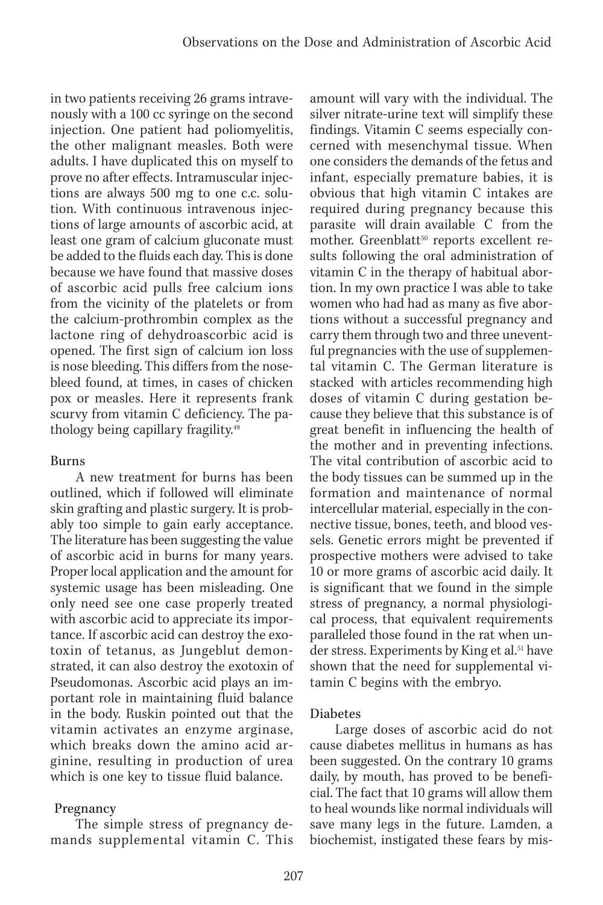in two patients receiving 26 grams intravenously with a 100 cc syringe on the second injection. One patient had poliomyelitis, the other malignant measles. Both were adults. I have duplicated this on myself to prove no after effects. Intramuscular injections are always 500 mg to one c.c. solution. With continuous intravenous injections of large amounts of ascorbic acid, at least one gram of calcium gluconate must be added to the fluids each day. This is done because we have found that massive doses of ascorbic acid pulls free calcium ions from the vicinity of the platelets or from the calcium-prothrombin complex as the lactone ring of dehydroascorbic acid is opened. The first sign of calcium ion loss is nose bleeding. This differs from the nosebleed found, at times, in cases of chicken pox or measles. Here it represents frank scurvy from vitamin C deficiency. The pathology being capillary fragility.49

### Burns

A new treatment for burns has been outlined, which if followed will eliminate skin grafting and plastic surgery. It is probably too simple to gain early acceptance. The literature has been suggesting the value of ascorbic acid in burns for many years. Proper local application and the amount for systemic usage has been misleading. One only need see one case properly treated with ascorbic acid to appreciate its importance. If ascorbic acid can destroy the exotoxin of tetanus, as Jungeblut demonstrated, it can also destroy the exotoxin of Pseudomonas. Ascorbic acid plays an important role in maintaining fluid balance in the body. Ruskin pointed out that the vitamin activates an enzyme arginase, which breaks down the amino acid arginine, resulting in production of urea which is one key to tissue fluid balance.

# Pregnancy

The simple stress of pregnancy demands supplemental vitamin C. This amount will vary with the individual. The silver nitrate-urine text will simplify these findings. Vitamin C seems especially concerned with mesenchymal tissue. When one considers the demands of the fetus and infant, especially premature babies, it is obvious that high vitamin C intakes are required during pregnancy because this parasite will drain available C from the mother. Greenblatt<sup>50</sup> reports excellent results following the oral administration of vitamin C in the therapy of habitual abortion. In my own practice I was able to take women who had had as many as five abortions without a successful pregnancy and carry them through two and three uneventful pregnancies with the use of supplemental vitamin C. The German literature is stacked with articles recommending high doses of vitamin C during gestation because they believe that this substance is of great benefit in influencing the health of the mother and in preventing infections. The vital contribution of ascorbic acid to the body tissues can be summed up in the formation and maintenance of normal intercellular material, especially in the connective tissue, bones, teeth, and blood vessels. Genetic errors might be prevented if prospective mothers were advised to take 10 or more grams of ascorbic acid daily. It is significant that we found in the simple stress of pregnancy, a normal physiological process, that equivalent requirements paralleled those found in the rat when under stress. Experiments by King et al.<sup>51</sup> have shown that the need for supplemental vitamin C begins with the embryo.

# Diabetes

Large doses of ascorbic acid do not cause diabetes mellitus in humans as has been suggested. On the contrary 10 grams daily, by mouth, has proved to be beneficial. The fact that 10 grams will allow them to heal wounds like normal individuals will save many legs in the future. Lamden, a biochemist, instigated these fears by mis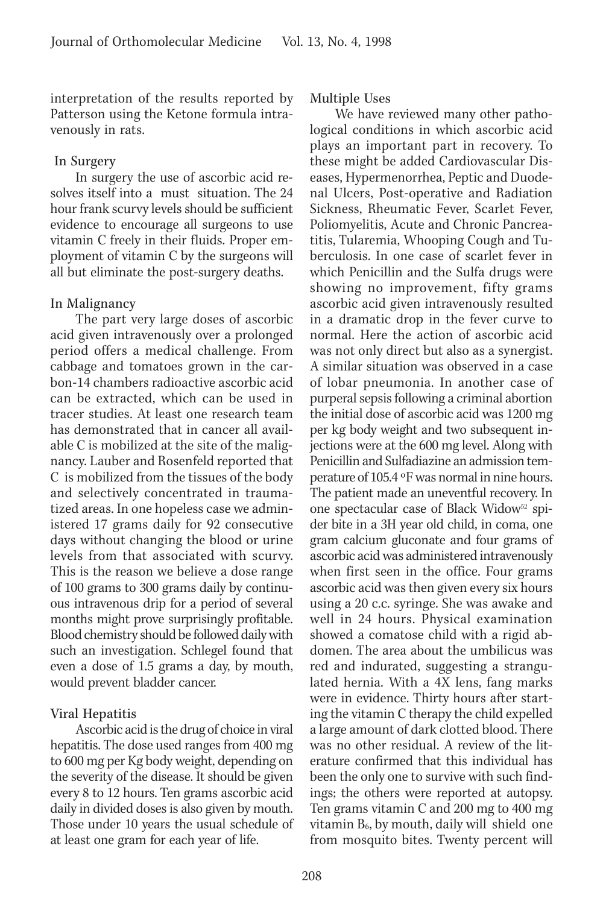interpretation of the results reported by Patterson using the Ketone formula intravenously in rats.

#### In Surgery

In surgery the use of ascorbic acid resolves itself into a must situation. The 24 hour frank scurvy levels should be sufficient evidence to encourage all surgeons to use vitamin C freely in their fluids. Proper employment of vitamin C by the surgeons will all but eliminate the post-surgery deaths.

#### In Malignancy

The part very large doses of ascorbic acid given intravenously over a prolonged period offers a medical challenge. From cabbage and tomatoes grown in the carbon-14 chambers radioactive ascorbic acid can be extracted, which can be used in tracer studies. At least one research team has demonstrated that in cancer all available C is mobilized at the site of the malignancy. Lauber and Rosenfeld reported that C is mobilized from the tissues of the body and selectively concentrated in traumatized areas. In one hopeless case we administered 17 grams daily for 92 consecutive days without changing the blood or urine levels from that associated with scurvy. This is the reason we believe a dose range of 100 grams to 300 grams daily by continuous intravenous drip for a period of several months might prove surprisingly profitable. Blood chemistry should be followed daily with such an investigation. Schlegel found that even a dose of 1.5 grams a day, by mouth, would prevent bladder cancer.

#### Viral Hepatitis

Ascorbic acid is the drug of choice in viral hepatitis. The dose used ranges from 400 mg to 600 mg per Kg body weight, depending on the severity of the disease. It should be given every 8 to 12 hours. Ten grams ascorbic acid daily in divided doses is also given by mouth. Those under 10 years the usual schedule of at least one gram for each year of life.

Multiple Uses

We have reviewed many other pathological conditions in which ascorbic acid plays an important part in recovery. To these might be added Cardiovascular Diseases, Hypermenorrhea, Peptic and Duodenal Ulcers, Post-operative and Radiation Sickness, Rheumatic Fever, Scarlet Fever, Poliomyelitis, Acute and Chronic Pancreatitis, Tularemia, Whooping Cough and Tuberculosis. In one case of scarlet fever in which Penicillin and the Sulfa drugs were showing no improvement, fifty grams ascorbic acid given intravenously resulted in a dramatic drop in the fever curve to normal. Here the action of ascorbic acid was not only direct but also as a synergist. A similar situation was observed in a case of lobar pneumonia. In another case of purperal sepsis following a criminal abortion the initial dose of ascorbic acid was 1200 mg per kg body weight and two subsequent injections were at the 600 mg level. Along with Penicillin and Sulfadiazine an admission temperature of 105.4 ºF was normal in nine hours. The patient made an uneventful recovery. In one spectacular case of Black Widow<sup>52</sup> spider bite in a 3H year old child, in coma, one gram calcium gluconate and four grams of ascorbic acid was administered intravenously when first seen in the office. Four grams ascorbic acid was then given every six hours using a 20 c.c. syringe. She was awake and well in 24 hours. Physical examination showed a comatose child with a rigid abdomen. The area about the umbilicus was red and indurated, suggesting a strangulated hernia. With a 4X lens, fang marks were in evidence. Thirty hours after starting the vitamin C therapy the child expelled a large amount of dark clotted blood. There was no other residual. A review of the literature confirmed that this individual has been the only one to survive with such findings; the others were reported at autopsy. Ten grams vitamin C and 200 mg to 400 mg vitamin  $B_6$ , by mouth, daily will shield one from mosquito bites. Twenty percent will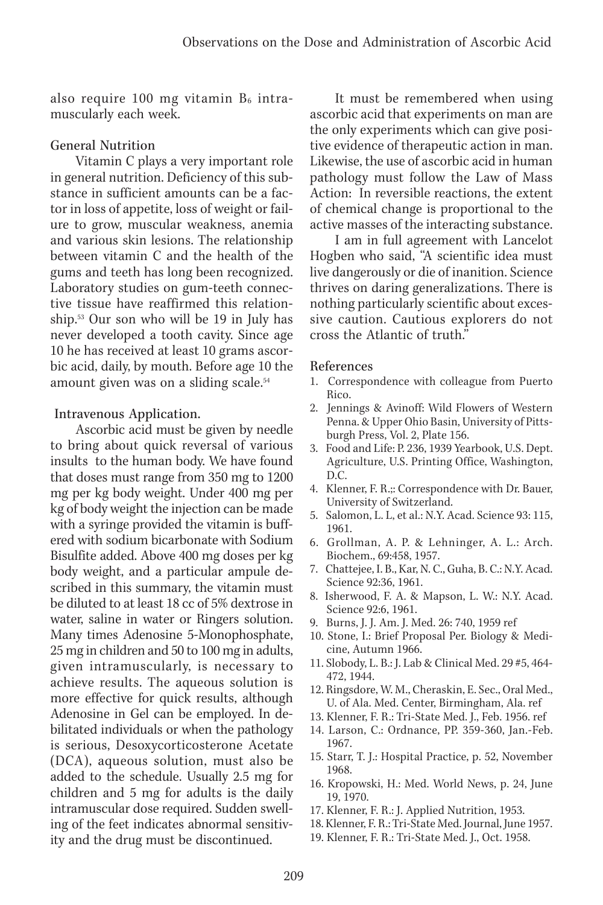also require 100 mg vitamin  $B_6$  intramuscularly each week.

#### General Nutrition

Vitamin C plays a very important role in general nutrition. Deficiency of this substance in sufficient amounts can be a factor in loss of appetite, loss of weight or failure to grow, muscular weakness, anemia and various skin lesions. The relationship between vitamin C and the health of the gums and teeth has long been recognized. Laboratory studies on gum-teeth connective tissue have reaffirmed this relationship.53 Our son who will be 19 in July has never developed a tooth cavity. Since age 10 he has received at least 10 grams ascorbic acid, daily, by mouth. Before age 10 the amount given was on a sliding scale.<sup>54</sup>

Intravenous Application.

Ascorbic acid must be given by needle to bring about quick reversal of various insults to the human body. We have found that doses must range from 350 mg to 1200 mg per kg body weight. Under 400 mg per kg of body weight the injection can be made with a syringe provided the vitamin is buffered with sodium bicarbonate with Sodium Bisulfite added. Above 400 mg doses per kg body weight, and a particular ampule described in this summary, the vitamin must be diluted to at least 18 cc of 5% dextrose in water, saline in water or Ringers solution. Many times Adenosine 5-Monophosphate, 25 mg in children and 50 to 100 mg in adults, given intramuscularly, is necessary to achieve results. The aqueous solution is more effective for quick results, although Adenosine in Gel can be employed. In debilitated individuals or when the pathology is serious, Desoxycorticosterone Acetate (DCA), aqueous solution, must also be added to the schedule. Usually 2.5 mg for children and 5 mg for adults is the daily intramuscular dose required. Sudden swelling of the feet indicates abnormal sensitivity and the drug must be discontinued.

It must be remembered when using ascorbic acid that experiments on man are the only experiments which can give positive evidence of therapeutic action in man. Likewise, the use of ascorbic acid in human pathology must follow the Law of Mass Action: In reversible reactions, the extent of chemical change is proportional to the active masses of the interacting substance.

I am in full agreement with Lancelot Hogben who said, "A scientific idea must live dangerously or die of inanition. Science thrives on daring generalizations. There is nothing particularly scientific about excessive caution. Cautious explorers do not cross the Atlantic of truth."

#### References

- 1. Correspondence with colleague from Puerto Rico.
- 2. Jennings & Avinoff: Wild Flowers of Western Penna. & Upper Ohio Basin, University of Pittsburgh Press, Vol. 2, Plate 156.
- 3. Food and Life: P. 236, 1939 Yearbook, U.S. Dept. Agriculture, U.S. Printing Office, Washington, D.C.
- 4. Klenner, F. R.;: Correspondence with Dr. Bauer, University of Switzerland.
- 5. Salomon, L. L, et al.: N.Y. Acad. Science 93: 115, 1961.
- 6. Grollman, A. P. & Lehninger, A. L.: Arch. Biochem., 69:458, 1957.
- 7. Chattejee, I. B., Kar, N. C., Guha, B. C.: N.Y. Acad. Science 92:36, 1961.
- 8. Isherwood, F. A. & Mapson, L. W.: N.Y. Acad. Science 92:6, 1961.
- 9. Burns, J. J. Am. J. Med. 26: 740, 1959 ref
- 10. Stone, I.: Brief Proposal Per. Biology & Medicine, Autumn 1966.
- 11. Slobody, L. B.: J. Lab & Clinical Med. 29 #5, 464- 472, 1944.
- 12. Ringsdore, W. M., Cheraskin, E. Sec., Oral Med., U. of Ala. Med. Center, Birmingham, Ala. ref
- 13. Klenner, F. R.: Tri-State Med. J., Feb. 1956. ref
- 14. Larson, C.: Ordnance, PP. 359-360, Jan.-Feb. 1967.
- 15. Starr, T. J.: Hospital Practice, p. 52, November 1968.
- 16. Kropowski, H.: Med. World News, p. 24, June 19, 1970.
- 17. Klenner, F. R.: J. Applied Nutrition, 1953.
- 18. Klenner, F. R.: Tri-State Med. Journal, June 1957.
- 19. Klenner, F. R.: Tri-State Med. J., Oct. 1958.